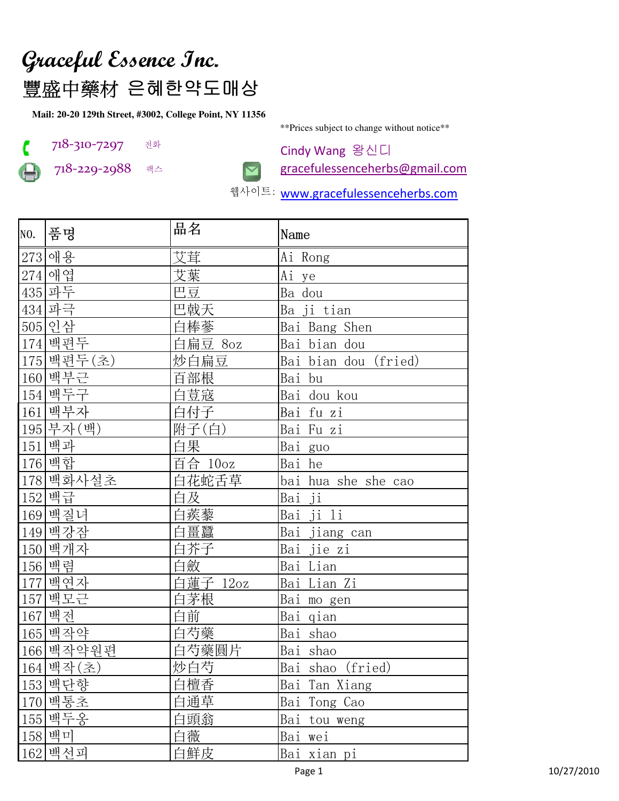## Graceful Essence Inc.

豐盛中藥材 은혜한약도매상

Mail: 20-20 129th Street, #3002, College Point, NY 11356



718-310-7297 전화

718-229-2988 팩스



\*\* Prices subject to change without notice\*\*

Cindy Wang 왕신디 gracefulessenceherbs@gmail.com

웹사이트: www.gracefulessenceherbs.com

|     | NO.  품명    | 品名       | Name                 |
|-----|------------|----------|----------------------|
|     | 273 애용     | 艾茸       | Ai Rong              |
|     | 274 애엽     | 艾葉       | Ai ye                |
|     | 435 파두     | 巴豆       | Ba dou               |
|     | 434 파극     | 巴戟天      | Ba ji_tian           |
|     | 505 인삼     | 白棒蔘      | Bai Bang Shen        |
|     | 174 백편두    | 白扁豆 8oz  | Bai bian dou         |
|     | 175 백편두(초) | 炒白扁豆     | Bai bian dou (fried) |
|     | 160 백부근    | 百部根      | Bai bu               |
|     | 154 백두구    | 白荳寇      | Bai dou kou          |
|     | 161 백부자    | 白付子      | Bai fu zi            |
|     | 195 부자 (백) | 附子(白)    | Bai Fu zi            |
|     | 151 백과     | 白果       | Bai guo              |
|     | 176 백합     | 百合 10oz  | Bai he               |
|     | 178 백화사설초  | 白花蛇舌草    | bai hua she she cao  |
|     | 152 백급     | 白及       | Bai ji               |
|     | 169 백질녀    | 白蒺藜      | Bai ji li            |
|     | 149 백강잠    | 白畺蠶      | Bai jiang can        |
|     | 150 백개자    | 白芥子      | Bai jie zi           |
|     | 156 백렴     | 白斂       | Bai Lian             |
|     | 177 백연자    | 白蓮子 12oz | Bai Lian Zi          |
|     | 157 백모근    | 白茅根      | Bai mo gen           |
|     | 167 백전     | 白前       | Bai qian             |
|     | 165 백작약    | 白芍藥      | Bai shao             |
|     | 166 백작약원편  | 白芍藥圓片    | Bai shao             |
|     | 164 백작(초)  | 炒白芍      | Bai shao (fried)     |
|     | 153 백단향    | 白檀香      | Bai Tan Xiang        |
|     | 170 백통초    | 白通草      | Bai Tong Cao         |
| 155 | 백두옹        | 白頭翁      | Bai tou weng         |
| 158 | 백미         | 白薇       | Bai<br>wei           |
| 162 | 백선피        | 白鮮皮      | Bai xian pi          |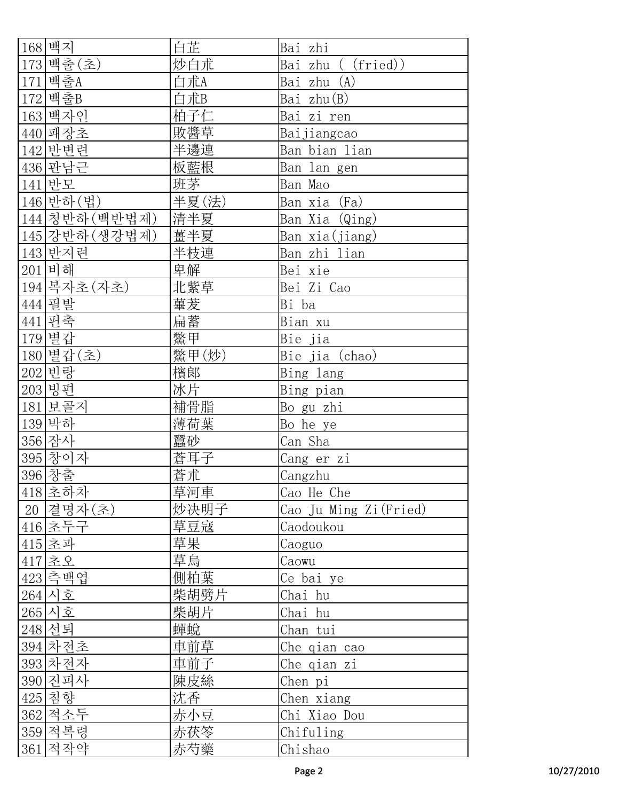| 168 백지         | 白芷    | Bai zhi                |
|----------------|-------|------------------------|
| 173 백출 (초)     | 炒白朮   | Bai zhu ( (fried))     |
| 171 백출A        | 白朮A   | Bai zhu (A)            |
| 172 백출B        | 白朮B   | Bai zhu(B)             |
| 163 백자인        | 柏子仁   | Bai zi ren             |
| 440 패장초        | 敗醬草   | Baijiangcao            |
| 142 반변련        | 半邊連   | Ban bian lian          |
| 436 판남근        | 板藍根   | Ban lan gen            |
| 141 반모         | 班茅    | Ban Mao                |
| 146 반하 (법)     | 半夏(法) | Ban xia (Fa)           |
| 144 청반하 (백반법제) | 清半夏   | Ban Xia (Qing)         |
| 145 강반하 (생강법제) | 薑半夏   | Ban xia(jiang)         |
| 143 반지련        | 半枝連   | Ban zhi lian           |
| 201 비해         | 卑解    | Bei xie                |
| 194 복자초 (자초)   | 北紫草   | Bei Zi Cao             |
| 444 필발         | 蓽茇    | Bi ba                  |
| 441 편축         | 扁蓄    | Bian xu                |
| 179 별 갑        | 鱉甲    | Bie jia                |
| 180 별갑(초)      | 鱉甲(炒) | Bie jia (chao)         |
| 202 빈랑         | 檳郞    | Bing lang              |
| 203 빙편         | 冰片    | Bing pian              |
| 181 보골지        | 補骨脂   | Bo gu zhi              |
| 139 박하         | 薄荷葉   | Bo he ye               |
| 356 잠사         | 蠶砂    | Can Sha                |
| 395 창이자        | 蒼耳子   | Cang er zi             |
| <u>396 창출</u>  | 蒼朮    | Cangzhu                |
| 418 초하차        | 草河車   | Cao He Che             |
| 20 결명자(초)      | 炒决明子  | Cao Ju Ming Zi (Fried) |
| 416 초두구        | 草豆寇   | Caodoukou              |
| 415 초과         | 草果    | Caoguo                 |
| 417 초오         | 草烏    | Caowu                  |
| 423 측백엽        | 側柏葉   | Ce bai ye              |
| 264 시호         | 柴胡劈片  | Chai hu                |
| 265 시호         | 柴胡片   | Chai hu                |
| 248 선퇴         | 蟬蛻    | Chan tui               |
| 394 차전초        | 車前草   | Che qian cao           |
| 393 차전자        | 車前子   | Che qian zi            |
| 390 진피사        | 陳皮絲   | Chen pi                |
| 425 침향         | 沈香    | Chen xiang             |
| 362 적소두        | 赤小豆   | Chi Xiao Dou           |
| 359 적복령        | 赤茯苓   | Chifuling              |
| 361 적작약        | 赤芍藥   | Chishao                |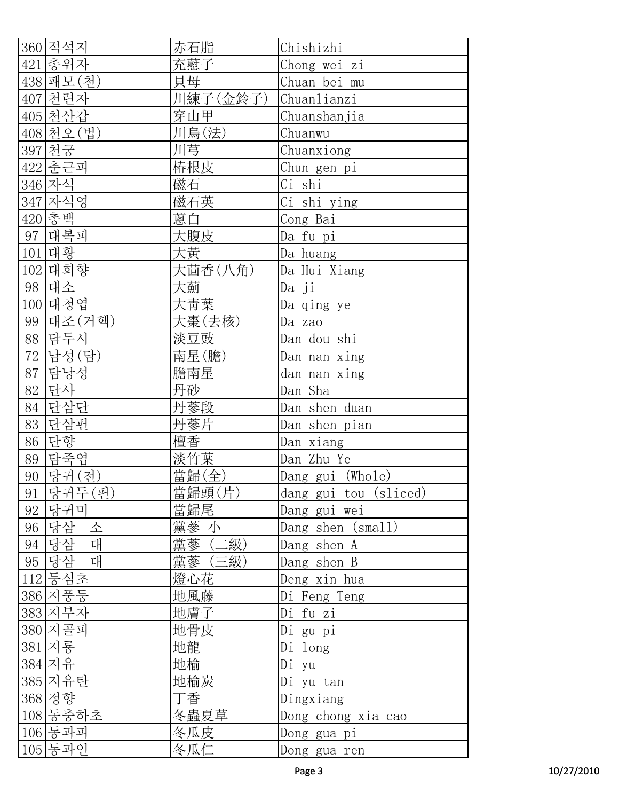|     | 360 적석지    | 赤石脂      | Chishizhi             |
|-----|------------|----------|-----------------------|
|     | 421 총위자    | 充藯子      | Chong wei zi          |
|     | 438 패모 (천) | 貝母       | Chuan bei mu          |
|     | 407 천련자    | 川練子(金鈴子) | Chuanlianzi           |
|     | 405 천산갑    | 穿山甲      | Chuanshanjia          |
|     | 408 천오 (법) | 川烏(法)    | Chuanwu               |
|     | 397 천궁     | 川芎       | Chuanxiong            |
|     | 422 춘근피    | 椿根皮      | Chun gen pi           |
|     | 346 자석     | 磁石       | Ci shi                |
|     | 347 자석영    | 磁石英      | Ci shi ying           |
|     | 420 총백     | 蔥白       | Cong Bai              |
|     | 97 대복피     | 大腹皮      | Da fu pi              |
|     | 101 대황     | 大黄       | Da huang              |
| 102 | 대희향        | 大茴香(八角)  | Da Hui Xiang          |
|     | 98 대소      | 大薊       | Da ji                 |
|     | 100 대청엽    | 大靑葉      | Da qing ye            |
|     | 99 대조 (거핵) | 大棗(去核)   | Da zao                |
| 88  | 담두시        | 淡豆豉      | Dan dou shi           |
| 72  | 남성(담)      | 南星(膽)    | Dan nan xing          |
| 87  | 담낭성        | 膽南星      | dan nan xing          |
| 82  | 단사         | 丹砂       | Dan Sha               |
| 84  | 단삼단        | 丹蔘段      | Dan shen duan         |
| 83  | 단삼편        | 丹蔘片      | Dan shen pian         |
| 86  | 단향         | 檀香       | Dan xiang             |
|     | 89 담죽엽     | 淡竹葉      | Dan Zhu Ye            |
| 90  | 당귀(전)      | 當歸(全)    | Dang gui (Whole)      |
| 91  | 당귀두(편)     | 當歸頭(片)   | dang gui tou (sliced) |
| 92  | 당귀미        | 當歸尾      | Dang gui wei          |
| 96  | 당삼<br>소    | 黨蔘 小     | Dang shen (small)     |
| 94  | 당삼 대       | 黨蔘 (二級)  | Dang shen A           |
|     | 95 당삼 대    | 黨蔘 (三級)  | Dang shen B           |
|     | 112 등심초    | 燈心花      | Deng xin hua          |
|     | 386 지풍등    | 地風藤      | Di Feng Teng          |
|     | 383 지부자    | 地膚子      | Di fu zi              |
|     | 380 지골피    | 地骨皮      | Di gu pi              |
|     | 381 지룡     | 地龍       | Di long               |
|     | 384 지유     | 地榆       | Di yu                 |
|     | 385 지유탄    | 地榆炭      | Di yu tan             |
|     | 368 정향     | 丁香       | Dingxiang             |
|     | 108 동충하초   | 冬蟲夏草     | Dong chong xia cao    |
|     | 106 동과피    | 冬瓜皮      | Dong gua pi           |
|     | 105 동과인    | 冬瓜仁      | Dong gua ren          |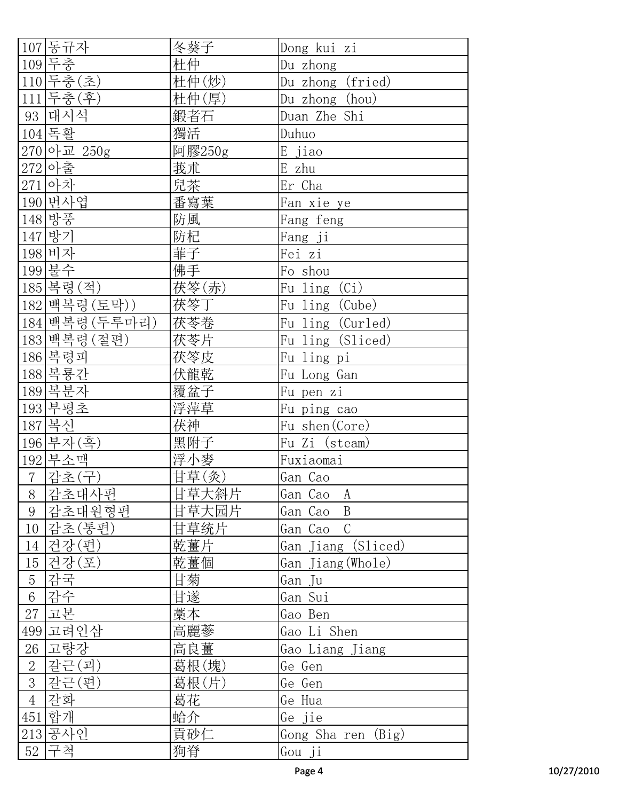| 107 동규자                 | 冬葵子                 | Dong kui zi        |
|-------------------------|---------------------|--------------------|
| 109 두층                  | 杜仲                  | Du zhong           |
| 110 두충(초)               | 杜仲(炒)               | Du zhong (fried)   |
| 111 두충 (후)              | 杜仲(厚)               | Du zhong (hou)     |
| 93 대시석                  | 鍛者石                 | Duan Zhe Shi       |
| 104 독활                  | 獨活                  | Duhuo              |
| 270 아교 250g             | 阿膠250g              | E jiao             |
| 272 아출                  | 莪朮                  | E zhu              |
| 271아차                   | 兒茶                  | Er Cha             |
| 190 번사엽                 | 番寫葉                 | Fan xie ye         |
| 148 방풍                  | 防風                  | Fang feng          |
| 147 방기                  | 防杞                  | Fang ji            |
| 198 비자                  | 菲子                  | Fei zi             |
| 199 불수                  | 佛手                  | Fo shou            |
| 185 복령(적)               | 茯笭(赤)               | Fu ling (Ci)       |
| 182 백복령 (토막))           | 茯笭丁                 | Fu ling (Cube)     |
| 184 백복령 (두루마리)          | 茯苓卷                 | Fu ling (Curled)   |
| 183 백복령 (절편)            | 茯苓片                 | Fu ling (Sliced)   |
| 186 복령피                 | 茯笭皮                 | Fu ling pi         |
| 188 복룡간                 | 伏龍乾                 | Fu Long Gan        |
| 189 복분자                 | 覆盆子                 | Fu pen zi          |
| 193 부평초                 | 浮萍草                 | Fu ping cao        |
| 187 복신                  | 茯神                  | Fu shen (Core)     |
| 196 부자 (흑)              | 黑附子                 | Fu Zi (steam)      |
| 192 부소맥                 | 浮小麥                 | Fuxiaomai          |
| $7\phantom{.}$<br>감초(구) | 甘草(灸)               | Gan Cao            |
| 8<br> 감초대사편             | ——<br>甘草大 <u>斜片</u> | Gan Cao<br>A       |
| 감초대원형편<br>9             | 甘草大园片               | B<br>Gan Cao       |
| 감초(통편)<br>10            | 甘草统片                | Gan Cao C          |
| 건강(편)<br>14             | 乾薑片                 | Gan Jiang (Sliced) |
| 건강(포)<br>$15\,$         | 乾薑個                 | Gan Jiang (Whole)  |
| 감국<br>$\frac{5}{6}$     | 甘菊                  | Gan Ju             |
| 감수                      | 甘遂                  | Gan Sui            |
| 27 고본                   | 藁本                  | Gao Ben            |
| 499 고려인삼                | 高麗蔘                 | Gao Li Shen        |
| 26 고량강                  | 高良薑                 | Gao Liang Jiang    |
| $\overline{2}$<br>갈근(괴) | 葛根(塊)               | Ge Gen             |
| $\overline{3}$<br>같근(편) | 葛根(片)               | Ge Gen             |
| $\overline{4}$<br>갈화    | 葛花                  | Ge Hua             |
| 451 합개                  | 蛤介                  | Ge jie             |
| 213 공사인                 | 貢砂仁                 | Gong Sha ren (Big) |
| 구척<br>52                | 狗脊                  | Gou ji             |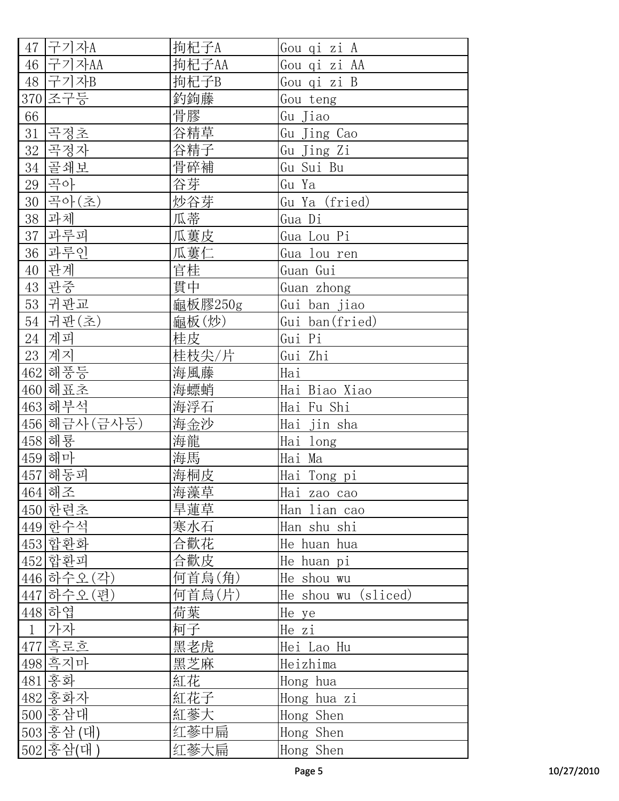| 구기자A<br>47           | 拘杞子A    | Gou qi zi A         |
|----------------------|---------|---------------------|
| 46 구기자AA             | 拘杞子AA   | Gou qi zi AA        |
| 48 구기자B              | 拘杞子B    | Gou qi zi B         |
| 조구등<br>370           | 釣鉤藤     | Gou teng            |
| 66                   | 骨膠      | Gu Jiao             |
| 곡정초<br>31            | 谷精草     | Gu Jing Cao         |
| 32<br>곡정자            | 谷精子     | Gu Jing Zi          |
| 골쇄보<br>34            | 骨碎補     | Gu Sui Bu           |
| 곡아<br>29             | 谷芽      | Gu Ya               |
| 곡아(초)<br>30          | 炒谷芽     | Gu Ya (fried)       |
| 과체<br>38             | 瓜蒂      | Gua Di              |
| 과루피<br>37            | 瓜蔞皮     | Gua Lou Pi          |
| 과루인<br>36            | 瓜蔞仁     | Gua lou ren         |
| 관계<br>40             | 官桂      | Guan Gui            |
| 관중<br>43             | 貫中      | Guan zhong          |
| 귀판교<br>53            | 龜板膠250g | Gui ban jiao        |
| 54<br>귀판(초)          | 龜板(炒)   | Gui ban(fried)      |
| 24 계피                | 桂皮      | Gui Pi              |
| 계지<br>23             | 桂枝尖/片   | Gui Zhi             |
| 해풍등<br>462           | 海風藤     | Hai                 |
| 해표초<br>460           | 海螵蛸     | Hai Biao Xiao       |
| 463 해부석              | 海浮石     | Hai Fu Shi          |
| 456 해금사 (금사등)        | 海金沙     | Hai jin sha         |
| 458 해룡               | 海龍      | Hai long            |
| 459 해마               | 海馬      | Hai Ma              |
| 457 해동피              | 海桐皮     | Hai Tong pi         |
| 464 해조               | 海藻草     | Hai zao cao         |
| 450 한련초              | 旱蓮草     | Han lian cao        |
| 449 한수석              | 寒水石     | Han shu shi         |
| 453 합환화              | 合歡花     | He huan hua         |
| 452 합환피              | 合歡皮     | He huan pi          |
| 446 하수오 (각)          | 何首烏(角)  | He shou wu          |
| 447 하수오 (편)          | 何首烏(片)  | He shou wu (sliced) |
| 448 하엽               | 荷葉      | He ye               |
| $\overline{1}$<br>가자 | 柯子      | He zi               |
| 477 흑로호              | 黑老虎     | Hei Lao Hu          |
| 498 흑지마              | 黑芝麻     | Heizhima            |
| 홍화<br>481            | 紅花      | Hong hua            |
| 482 홍화자              | 紅花子     | Hong hua zi         |
| 500 홍삼대              | 紅蔘大     | Hong Shen           |
| 503 홍삼 (대)           | 红蔘中扁    | Hong Shen           |
| 502 홍삼(대)            | 红蔘大扁    | Hong Shen           |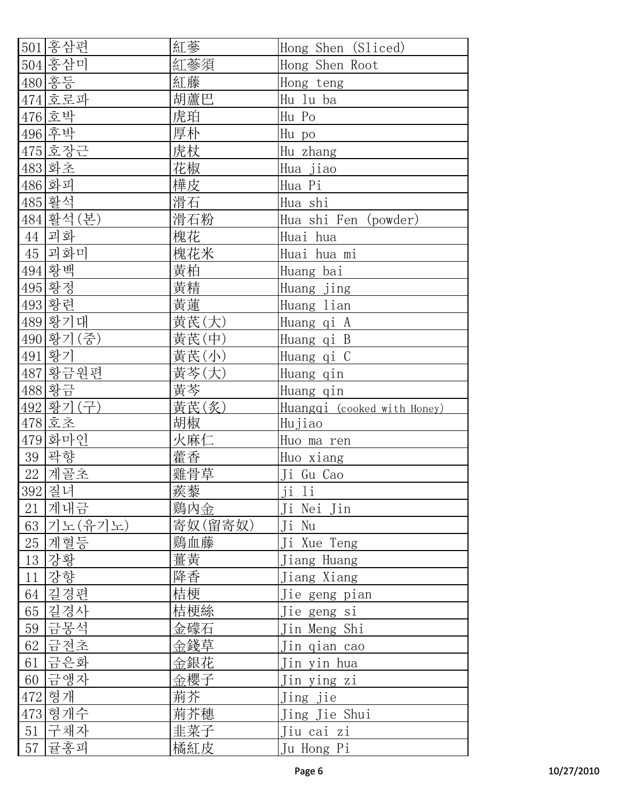|    | 501 홍삼편    | 紅蔘      | Hong Shen (Sliced)          |
|----|------------|---------|-----------------------------|
|    | 504 홍삼미    | 紅蔘須     | Hong Shen Root              |
|    | 480 홍등     | 紅藤      | Hong teng                   |
|    | 474 호로파    | 胡蘆巴     | Hu lu ba                    |
|    | 476 호박     | 虎珀      | Hu Po                       |
|    | 496 후박     | 厚朴      | Hu po                       |
|    | 475 호장근    | 虎杖      | Hu zhang                    |
|    | 483 화초     | 花椒      | Hua jiao                    |
|    | 486 화피     | 樺皮      | Hua Pi                      |
|    | 485 활석     | 滑石      | Hua shi                     |
|    | 484 활석 (본) | 滑石粉     | Hua shi Fen (powder)        |
|    | 44 괴화      | 槐花      | Huai hua                    |
|    | 45 괴화미     | 槐花米     | Huai hua mi                 |
|    | 494 황백     | 黄柏      | Huang bai                   |
|    | 495 황정     | 黃精      | Huang jing                  |
|    | 493 황련     | 黄蓮      | Huang lian                  |
|    | 489 황기대    | 黄芪(大)   | Huang qi A                  |
|    | 490 황기 (중) | 黄芪(中)   | Huang qi B                  |
|    | 491 황기     | 黄芪(小)   | Huang qi C                  |
|    | 487 황금원편   | 黄芩(大)   | Huang qin                   |
|    | 488 황금     | 黄芩      | Huang qin                   |
|    | 492 황기(구)  | 黄芪(炙)   | Huangqi (cooked with Honey) |
|    | $478$ 호초   | 胡椒      | Hujiao                      |
|    | 479 화마인    | 火麻仁     | Huo ma ren                  |
|    | 39 곽향      | 藿香      | Huo xiang                   |
|    | 22 계골초     | 雞骨草     | Ji Gu Cao                   |
|    | 392 질녀     | 蒺藜      | <u>ji li</u>                |
| 21 | 계내금        | 鷄内金     | Ji Nei Jin                  |
|    | 63 기노(유기노) | 寄奴(留寄奴) | Ji Nu                       |
| 25 | 계혈등        | 鷄血藤     | Ji Xue Teng                 |
| 13 | 강황         | 薑黃      | Jiang Huang                 |
| 11 | 강향         | 降香      | Jiang Xiang                 |
| 64 | 길경편        | 桔梗      | Ji <u>e geng pian</u>       |
| 65 | 길경사        | 桔梗絲     | Jie geng si                 |
| 59 | 금몽석        | 金礞石     | Jin Meng Shi                |
| 62 | 금전초        | 金錢草     | Jin qian cao                |
|    | 61 금은화     | 金銀花     | Jin yin hua                 |
|    | 60 금앵자     | 金櫻子     | Jin y <u>ing zi</u>         |
|    | 472 형개     | 荊芥      | Jing jie                    |
|    | 473 형개수    | 荊芥穗     | Jing Jie Shui               |
|    | 51 구채자     | 韭菜子     | Jiu cai zi                  |
| 57 | 귤홍피        | 橘紅皮     | Ju Hong Pi                  |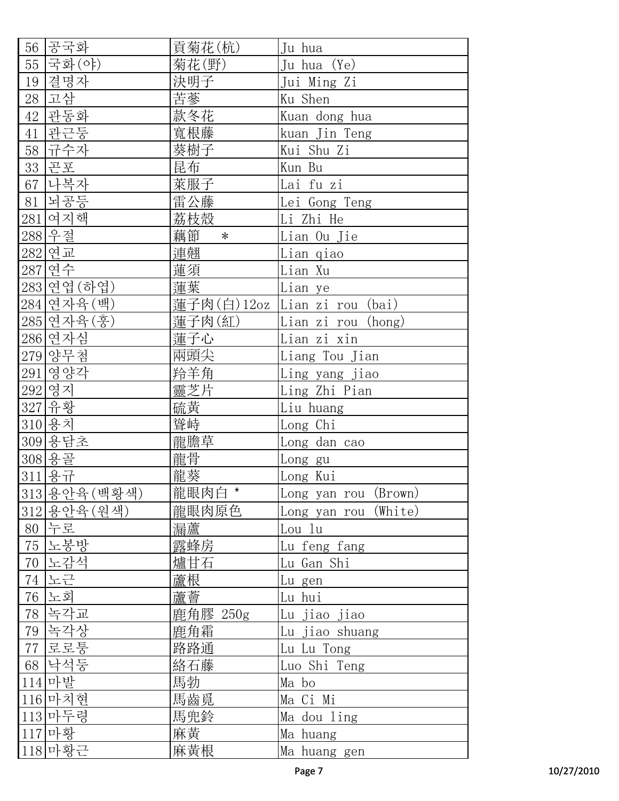| 56  | 공국화                      | 貢菊花(杭)       | Ju hua               |
|-----|--------------------------|--------------|----------------------|
| 55  | 국화(야)                    | 菊花(野)        | Ju hua (Ye)          |
| 19  | 결명자                      | 決明子          | Jui Ming Zi          |
| 28  | 고삼                       | 苦蔘           | Ku Shen              |
| 42  | 관동화                      | 款冬花          | Kuan dong hua        |
| 41  | 관근둥                      | 寬根藤          | kuan Jin Teng        |
| 58  | 규수자                      | 葵樹子          | Kui Shu Zi           |
| 33  | 곤포                       | 昆布           | Kun Bu               |
| 67  | 나복자                      | 萊服子          | Lai fu zi            |
| 81  | 뇌공등                      | 雷公藤          | Lei Gong Teng        |
| 281 | 여지핵                      | 荔枝殼          | Li Zhi He            |
|     | 288 우절                   | 藕節<br>$\ast$ | Lian Ou Jie          |
|     | 282 연교                   | 連翹           | Lian qiao            |
|     | 287 연수                   | 蓮須           | Lian Xu              |
|     | 283 연엽 (하엽)              | 蓮葉           | Lian ye              |
|     | 284 연자육 (백)              | 蓮子肉(白)12oz   | Lian zi rou (bai)    |
|     | 285 연자육(훙)               | 蓮子肉(紅)       | Lian zi rou (hong)   |
|     | 286 연자심                  | 蓮子心          | Lian zi xin          |
|     | 279 양무첨                  | 兩頭尖          | Liang Tou Jian       |
|     | 291 영양각                  | 羚羊角          | Ling yang jiao       |
|     | 292 영지                   | 靈芝片          | Ling Zhi Pian        |
|     | 327 유황                   | 硫黄           | Liu huang            |
|     | 310 용치                   | 聳峙           | Long Chi             |
|     | 309 용담초                  | 龍膽草          | Long dan cao         |
|     | 308 용골                   | 龍骨           | Long gu              |
| 311 | $rac{9}{6}$ $rac{7}{11}$ | 龍葵           | Long Kui             |
|     | 313용안육(백황색)              | 龍眼肉白 *       | Long yan rou (Brown) |
|     | 312 용안육 (원색)             | 龍眼肉原色        | Long yan rou (White) |
|     | 80 누로                    | 漏蘆           | Lou lu               |
| 75  | 노봉방                      | 露蜂房          | <u>Lu feng fang</u>  |
| 70  | 노감석                      | 爐甘石          | Lu Gan Shi           |
| 74  | 노근                       | 蘆根           | Lu gen               |
| 76  | 노회                       | 蘆薈           | Lu hui               |
| 78  | 녹각교                      | 鹿角膠 250g     | Lu jiao jiao         |
| 79  | 녹각상                      | 鹿角霜          | Lu jiao shuang       |
| 77  | 로로퉁                      | 路路通          | Lu Lu Tong           |
|     | 68 낙석둥                   | 絡石藤          | Luo Shi Teng         |
|     | 114 마발                   | 馬勃           | Ma bo                |
|     | 116 마치현                  | 馬齒覓          | Ma Ci Mi             |
|     | 113 마두령                  | 馬兜鈴          | Ma dou ling          |
|     | 117 마황                   | 麻黄           | Ma huang             |
|     | 118 마황근                  | 麻黃根          | Ma huang gen         |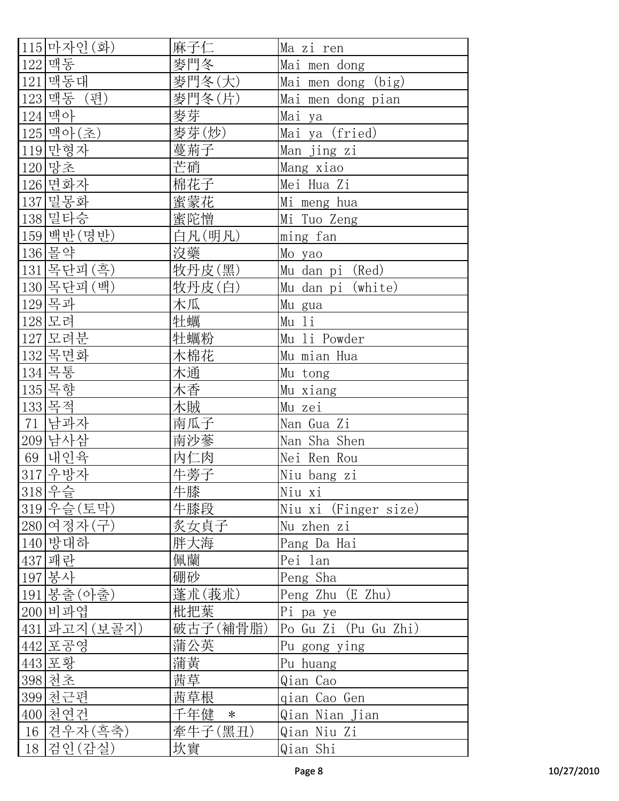| 115 마자인 (화)    | 麻子仁           | Ma zi ren            |
|----------------|---------------|----------------------|
| 122 맥동         | 麥門冬           | Mai men dong         |
| 121 맥동대        | 麥門冬(大)        | Mai men dong (big)   |
| 123 맥동 (편)     | 麥門冬(片)        | Mai men dong pian    |
| 124 맥아         | <u>麥芽</u>     | Mai ya               |
| 125 맥아(초)      | 麥芽(炒)         | Mai ya (fried)       |
| 119 만형자        | 蔓荊子           | Man jing zi          |
| 120 망초         | 芒硝            | Mang xiao            |
| 126 면화자        | 棉花子           | Mei Hua Zi           |
| 137 밀몽화        | 蜜蒙花           | Mi meng hua          |
| 138 밀타승        | 蜜陀憎           | Mi Tuo Zeng          |
| 159 백반 (명반)    | 白凡(明凡)        | ming fan             |
| 136 몰약         | 没藥            | Mo yao               |
| 목단피 (흑)<br>131 | 牧丹皮(黑)        | Mu dan pi (Red)      |
| 130 목단피 (백)    | 牧丹皮(白)        | Mu dan pi (white)    |
| 129목과          | 木瓜            | Mu gua               |
| 128 모려         | 牡蠣            | Mu li                |
| 127 모려분        | 牡蠣粉           | Mu li Powder         |
| 132 목면화        | 木棉花           | Mu mian Hua          |
| 134 목통         | 木通            | Mu tong              |
| 135 목향         | 木香            | Mu xiang             |
| 133 목적         | 木賊            | Mu zei               |
| 71 남과자         | 南瓜子           | Nan Gua Zi           |
| 209 남사삼        | 南沙蔘           | Nan Sha Shen         |
| 69 내인육         | 內仁肉           | Nei Ren Rou          |
| 317 우방자        | 牛蒡子           | Niu bang zi          |
| 318 우슬         | 牛膝            | Niu xi               |
| 319 우슬 (토막)    | 牛膝段           | Niu xi (Finger size) |
| 280 여정자 (구)    | 炙女貞子          | Nu zhen zi           |
| 140 방대하        | 胖大海           | Pang Da Hai          |
| 패란<br>437      | 佩蘭            | Pei lan              |
| 봉사<br>197      | 硼砂            | Peng Sha             |
| 봉출(아출)<br>191  | 蓬朮(莪朮)        | Peng Zhu (E Zhu)     |
| 200 비파엽        | 枇把葉           | Pi pa ye             |
| 431 파고지 (보골지)  | 破古子(補骨脂)      | Po Gu Zi (Pu Gu Zhi) |
| 442 포공영        | 蒲公英           | Pu gong ying         |
| 443 포황         | 蒲黄            | Pu huang             |
| 398 천초         |               |                      |
|                | 茜草            | Qian Cao             |
| 399 천근편        | 茜草根           | gian Cao Gen         |
| 400 천연건        | 千年健<br>$\ast$ | Qian Nian Jian       |
| 견우자(흑축)<br>16  | 牽牛子(黑丑)       | Qian Niu Zi          |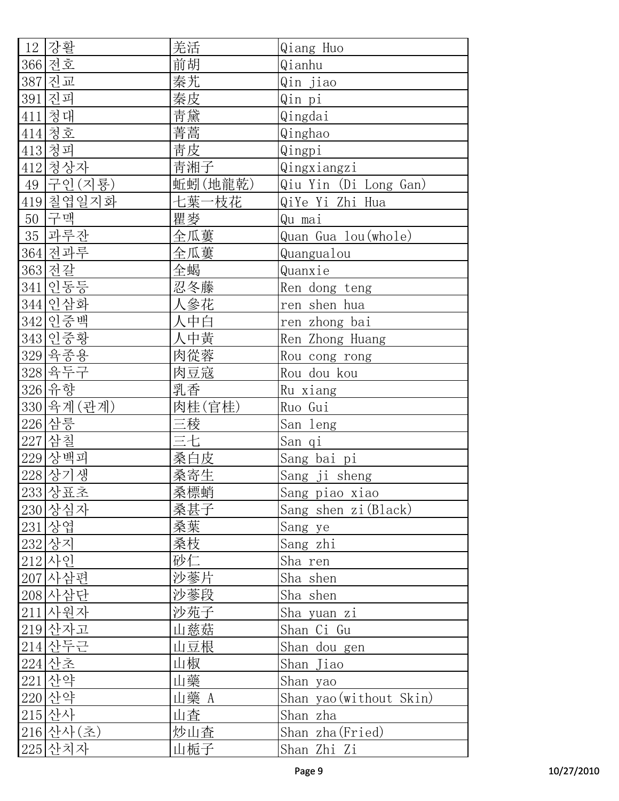|    | 12 강활                     | 羌活      | Qiang Huo               |
|----|---------------------------|---------|-------------------------|
|    | 366 전호                    | 前胡      | Qianhu                  |
|    | 387 진교                    | 秦艽      | Qin jiao                |
|    | 391 진피                    | 秦皮      | Qin pi                  |
|    | 411 청대                    | 青黛      | Qingdai                 |
|    | 414 청호                    | 菁蒿      | Qinghao                 |
|    | 413 청피                    | 青皮      | Qingpi                  |
|    | 412 청상자                   | 青湘子     | Qingxiangzi             |
|    | 49 구인 (지룡)                | 蚯蚓(地龍乾) | Qiu Yin (Di Long Gan)   |
|    | 419 칠엽일지화                 | 七葉一枝花   | QiYe Yi Zhi Hua         |
| 50 | 구맥                        | 瞿麥      | Qu mai                  |
|    | 35 과루잔                    | 全瓜蔞     | Quan Gua lou (whole)    |
|    | 364 전과루                   | 全瓜蔞     | Quangualou              |
|    | 363 전갈                    | 全蝎      | Quanxie                 |
|    | 341 인동등                   | 忍冬藤     | Ren dong teng           |
|    | 344 인삼화                   | 人參花     | ren shen hua            |
|    | 342 인중백                   | 人中白     | ren zhong bai           |
|    | 343 인중황                   | 人中黃     | Ren Zhong Huang         |
|    |                           | 肉從蓉     | Rou cong rong           |
|    | <u>329 육종용</u><br>328 육두구 | 肉豆寇     | Rou dou kou             |
|    | 326 유향                    | 乳香      | Ru xiang                |
|    | 330 육계 (관계)               | 肉桂(官桂)  | Ruo Gui                 |
|    | 226 삼릉                    | 三稜      | San leng                |
|    | 227 삼칠                    | 三七      | San qi                  |
|    | 229 상백피                   | 桑白皮     | Sang bai pi             |
|    | 228 상기생                   | 桑寄生     | Sang ji sheng           |
|    | 233 상표초                   | 桑標蛸     | Sang piao xiao          |
|    | 230 상심자                   | 桑甚子     | Sang shen zi (Black)    |
|    | 231 상엽                    | 桑葉      | Sang ye                 |
|    | 232 상지                    | 桑枝      | Sang zhi                |
|    | 212 사인                    | 砂仁      | Sha ren                 |
|    | 207 사삼편                   | 沙蔘片     | Sha shen                |
|    | 208 사삼단                   | 沙蔘段     | Sha shen                |
|    | 211 사원자                   | 沙苑子     | Sha yuan zi             |
|    | 219 산자고                   | 山慈菇     | Shan Ci Gu              |
|    | 214 산두근                   | 山豆根     | Shan dou gen            |
|    | 224 산초                    | 山椒      | Shan Jiao               |
|    | 221 산약                    | 山藥      | Shan yao                |
|    | 220 산약                    | 山藥 A    | Shan yao (without Skin) |
|    | 215 산사                    | 山査      |                         |
|    |                           |         | Shan zha                |
|    | 216 산사 (초)                | 炒山査     | Shan zha (Fried)        |
|    | 225 산치자                   | 山栀子     | Shan Zhi Zi             |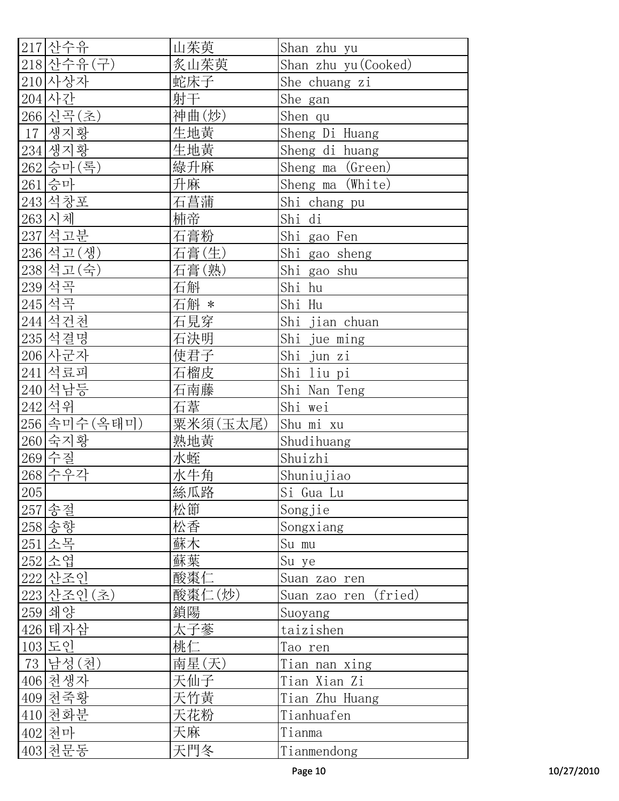| 217 산수유       | 山茱萸      | Shan zhu yu             |
|---------------|----------|-------------------------|
| 218 산수유 (구)   | 炙山茱萸     | Shan zhu yu (Cooked)    |
| 210 사상자       | 蛇床子      | She chuang zi           |
| 204 사간        | 射干       | She gan                 |
| 266 신곡(초)     | 神曲(炒)    | Shen qu                 |
| 생지황<br>17     | 生地黄      | Sheng Di Huang          |
| 234 생지황       | 生地黄      | Sheng di huang          |
| 262 승마 (록)    | 綠升麻      | Sheng ma (Green)        |
| 261 승마        | 升麻       | Sheng ma (White)        |
| 243 석창포       | 石菖蒲      | Shi chang pu            |
| 263 시체        | 枾帝       | Shi di                  |
| 237 석고분       | 石膏粉      | Shi gao Fen             |
| 236 석고 (생)    | 石膏(生)    | Shi_gao_sheng           |
| 238 석고 (숙)    | 石膏(熟)    | Shi gao shu             |
| 239 석곡        | 石斛       | Shi hu                  |
| 245 석곡        | 石斛 *     | Shi Hu                  |
| 244 석건천       | 石見穿      | Shi jian chuan          |
| 235 석결명       | 石決明      | Shi jue ming            |
| 206 사군자       | 使君子      | Shi jun zi              |
| 241 석료피       | 石榴皮      | Shi liu pi              |
| 240 석남등       | 石南藤      | Shi Nan Teng            |
| 242 석위        | 石葦       | Shi wei                 |
| 256 속미수 (옥태미) | 粟米須(玉太尾) | Shu mi xu               |
| 260 숙지황       | 熟地黄      | Shudihuang              |
| 269 수질        | 水蛭       | Shuizhi                 |
| 268 수우각       | 水牛角      | Shuniujiao              |
| 205           | 絲瓜路      | Si Gua Lu               |
| 257 송절        | 松節       | Songjie                 |
| 258 송향        | 松香       | Songxiang               |
| 251 소목        | 蘇木       | Su mu                   |
| 252 소엽        | 蘇葉       | Su ye                   |
| 222 산조인       | 酸棗仁      | Suan zao ren            |
| 223 산조인 (초)   | 酸棗仁(炒)   | Suan zao ren<br>(fried) |
| 259 쇄양        | 鎖陽       | Suoyang                 |
| 426 태자삼       | 太子蔘      | taizishen               |
| 103 도인        | 桃仁       | Tao ren                 |
| 73 남성 (천)     | 南星(天)    | Tian nan xing           |
| 406 천생자       | 天仙子      | Tian Xian Zi            |
| 409 천죽황       | 天竹黃      | Tian Zhu Huang          |
| 410 천화분       | 天花粉      | Tianhuafen              |
| 402 천마        | 天麻       | Tianma                  |
| 403 천문동       | 天門冬      | Tianmendong             |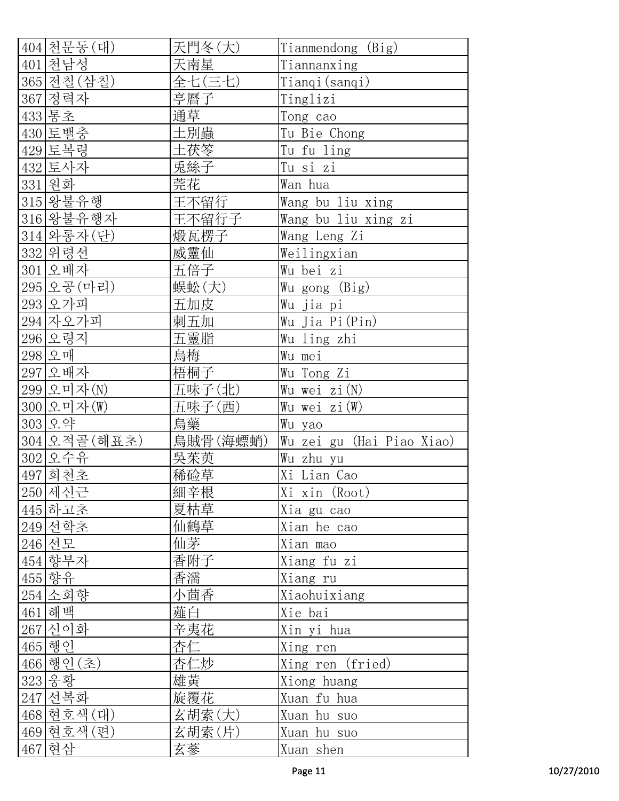| 404 천문동(대)    | 天門冬(大)   | Tianmendong (Big)                |
|---------------|----------|----------------------------------|
| 401 천남성       | 天南星      | Tiannanxing                      |
| 365 전칠 (삼칠)   | 全七(三七)   | Tianqi(sanqi)                    |
| 367 정력자       | 亭曆子      | Tinglizi                         |
| 433 통초        | 通草       | Tong_cao                         |
| 430 토밸충       | 土別蟲      | Tu Bie Chong                     |
| 429 토복령       | 土茯笭      | Tu fu ling                       |
| 432 토사자       | 兎絲子      | Tu si zi                         |
| 331 원화        | 莞花       | Wan hua                          |
| 315 왕불유행      | 王不留行     | Wang bu liu xing                 |
| 316 왕불유행자     | 王不留行子    | Wang bu liu xing zi              |
| 314 와롱자 (단)   | 煅瓦楞子     | Wang Leng Zi                     |
| 332 위령선       | 威靈仙      | Weilingxian                      |
| 301 오배자       | 五倍子      | Wu bei zi                        |
| 295 오공 (마리)   | 蜈蚣(大)    | Wu gong (Big)                    |
| 293 오가피       | 五加皮      | Wu jia pi                        |
| $294$ 자오가피    | 刺五加      | Wu Jia Pi(Pin)                   |
| 296 오령지       | 五靈脂      | Wu ling zhi                      |
| 298 오매        | 烏梅       | Wu mei                           |
| 297 오배자       | 梧桐子      | Wu Tong Zi                       |
| 299 오미자(N)    | 五味子(北)   | Wu wei zi(N)                     |
| 300 오미자(W)    | 五味子(西)   | Wu wei zi (W)                    |
| 303 오약        | 烏藥       | Wu yao                           |
| 304 오적골 (해표초) | 烏賊骨(海螵蛸) | <u>Wu zei gu (Hai Piao Xiao)</u> |
| 302 오수유       | 吳茱萸      | Wu zhu yu                        |
| 497 회천초       | 稀硷草      | Xi Lian Cao                      |
| 250 세신근       | 細辛根      | Xi xin (Root)                    |
| 445 하고초       | 夏枯草      | Xia gu cao                       |
| 249 선학초       | 仙鶴草      | Xian he cao                      |
| 246 선모        | 仙茅       | Xian mao                         |
| 454 향부자       | 香附子      | Xiang fu zi                      |
| 455 향유        | 香濡       | Xiang ru                         |
| 254 소회향       | 小茴香      | Xiaohuixiang                     |
| 461 해백        | 薤白       | Xie bai                          |
| 267 신이화       | 辛夷花      | Xin yi hua                       |
| 465 행인        | 杏仁       | Xing ren                         |
| 466 행인 (초)    | 杏仁炒      | Xing ren (fried)                 |
| 323 웅황        | 雄黄       | Xiong huang                      |
| 247 선복화       | 旋覆花      | Xuan fu hua                      |
| 468 현호색 (대)   | 玄胡索(大)   | Xuan hu suo                      |
| 469 현호색 (편)   | 玄胡索(片)   | Xuan hu_suo                      |
| 467 현삼        | 玄蔘       | Xuan shen                        |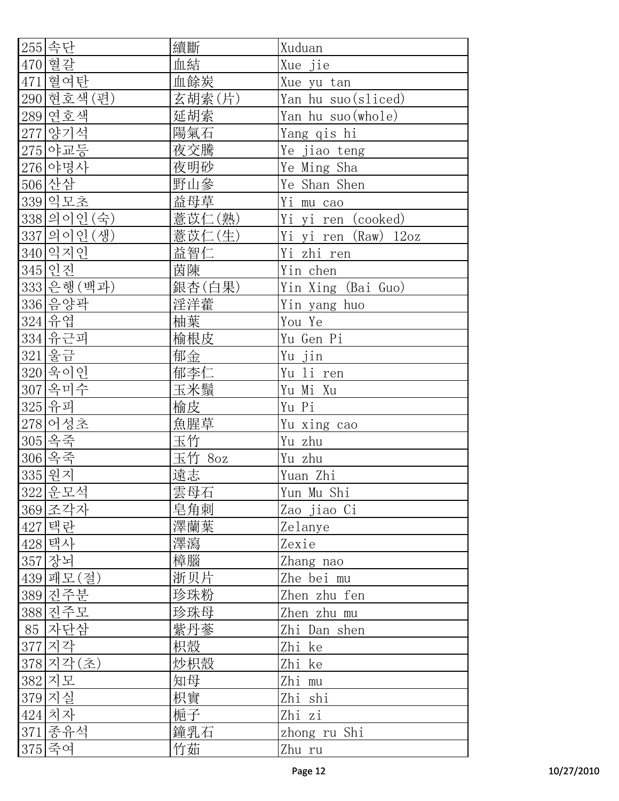| 255 속단      | 續斷                | Xuduan               |
|-------------|-------------------|----------------------|
| 470 혈갈      | 血結                | Xue jie              |
| 혈여탄<br>471  | 血餘炭               | Xue yu tan           |
| 290 현호색 (편) | 玄胡索(片)            | Yan hu suo (sliced)  |
| 289 연호색     | 延胡索               | Yan hu suo (whole)   |
| 277 양기석     | __<br>陽氣 <u>石</u> | Yang qis hi          |
| 275 야교등     | 夜交騰               | Ye jiao teng         |
| 276 야명사     | 夜明砂               | Ye Ming Sha          |
| 506 산삼      | 野山參               | Ye Shan Shen         |
| 339 익모초     | 益母草               | Yi m <u>u cao</u>    |
| 338 의이인 (숙) | 薏苡仁(熟)            | Yi yi ren (cooked)   |
| 337 의이인 (생) | 薏苡仁(生)            | Yi yi ren (Raw) 12oz |
| 340 익지인     | 益智仁               | Yi zhi ren           |
| 345 인진      | 茵陳                | Yin chen             |
| 333 은행 (백과) | 銀杏(白果)            | Yin Xing (Bai Guo)   |
| 336 음양곽     | 淫洋藿               | Yin yang huo         |
| 324 유엽      | 柚葉                | You Ye               |
| 334 유근피     | 榆根皮               | Yu Gen Pi            |
| 321 울금      | 郁金                | Yu jin               |
| 320 욱이인     | 郁李仁               | Yu li ren            |
| 307 옥미수     | 玉米鬚               | Yu Mi Xu             |
| 325 유피      | 榆皮                | Yu Pi                |
| 278 어성초     | 魚腥草               | Yu xing cao          |
| 305 옥죽      | 玉竹                | Yu zhu               |
| 306 옥죽      | 玉竹 8oz            | Yu zhu               |
| 335 원지      | 遠志                | Yuan Zhi             |
| 322 운모석     | 雲母石               | Yun Mu Shi           |
| 369 조각자     | 皂角刺               | Zao jiao Ci          |
| 427 택란      | 澤蘭葉               | Zelanye              |
| 428 택사      | 澤瀉                | Zexie                |
| 357 장뇌      | 樟腦                | Zhang nao            |
| 439 패모 (절)  | 浙贝片               | Zhe bei mu           |
| 389 진주분     | 珍珠粉               | Zhen zhu fen         |
| 388 진주모     | 珍珠母               | Zhen zhu mu          |
| 85 자단삼      | 紫丹蔘               | Zhi Dan shen         |
| 377 지각      | 枳殼                | Zhi ke               |
| 378 지각(초)   | 炒枳殼               | Zhi ke               |
| 382 지모      | 知母                | Zhi mu               |
| 379 지실      | 枳實                | Zhi shi              |
| 424 치자      | 梔子                | Zhi zi               |
| 371 종유석     | 鐘乳石               | zhong ru Shi         |
| 375 죽여      | 竹茹                | Zhu ru               |